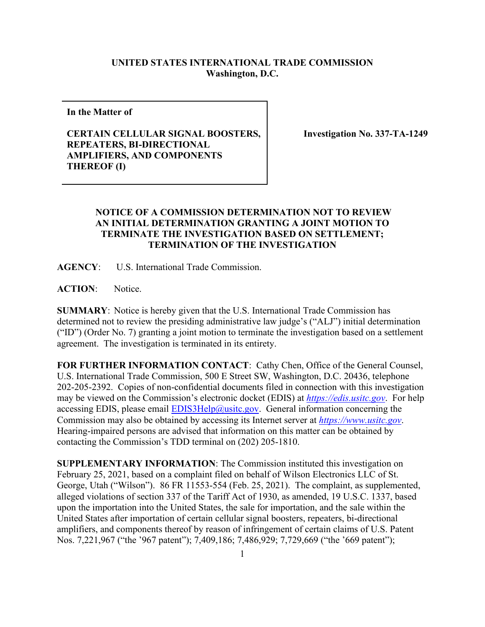## **UNITED STATES INTERNATIONAL TRADE COMMISSION Washington, D.C.**

**In the Matter of**

## **CERTAIN CELLULAR SIGNAL BOOSTERS, REPEATERS, BI-DIRECTIONAL AMPLIFIERS, AND COMPONENTS THEREOF (I)**

**Investigation No. 337-TA-1249**

## **NOTICE OF A COMMISSION DETERMINATION NOT TO REVIEW AN INITIAL DETERMINATION GRANTING A JOINT MOTION TO TERMINATE THE INVESTIGATION BASED ON SETTLEMENT; TERMINATION OF THE INVESTIGATION**

**AGENCY**: U.S. International Trade Commission.

**ACTION**: Notice.

**SUMMARY**: Notice is hereby given that the U.S. International Trade Commission has determined not to review the presiding administrative law judge's ("ALJ") initial determination ("ID") (Order No. 7) granting a joint motion to terminate the investigation based on a settlement agreement. The investigation is terminated in its entirety.

**FOR FURTHER INFORMATION CONTACT**: Cathy Chen, Office of the General Counsel, U.S. International Trade Commission, 500 E Street SW, Washington, D.C. 20436, telephone 202-205-2392. Copies of non-confidential documents filed in connection with this investigation may be viewed on the Commission's electronic docket (EDIS) at *[https://edis.usitc.gov](https://edis.usitc.gov/)*. For help accessing EDIS, please email  $EDIS3Help@ustc.gov$ . General information concerning the Commission may also be obtained by accessing its Internet server at *[https://www.usitc.gov](https://www.usitc.gov/)*. Hearing-impaired persons are advised that information on this matter can be obtained by contacting the Commission's TDD terminal on (202) 205-1810.

**SUPPLEMENTARY INFORMATION**: The Commission instituted this investigation on February 25, 2021, based on a complaint filed on behalf of Wilson Electronics LLC of St. George, Utah ("Wilson"). 86 FR 11553-554 (Feb. 25, 2021). The complaint, as supplemented, alleged violations of section 337 of the Tariff Act of 1930, as amended, 19 U.S.C. 1337, based upon the importation into the United States, the sale for importation, and the sale within the United States after importation of certain cellular signal boosters, repeaters, bi-directional amplifiers, and components thereof by reason of infringement of certain claims of U.S. Patent Nos. 7,221,967 ("the '967 patent"); 7,409,186; 7,486,929; 7,729,669 ("the '669 patent");